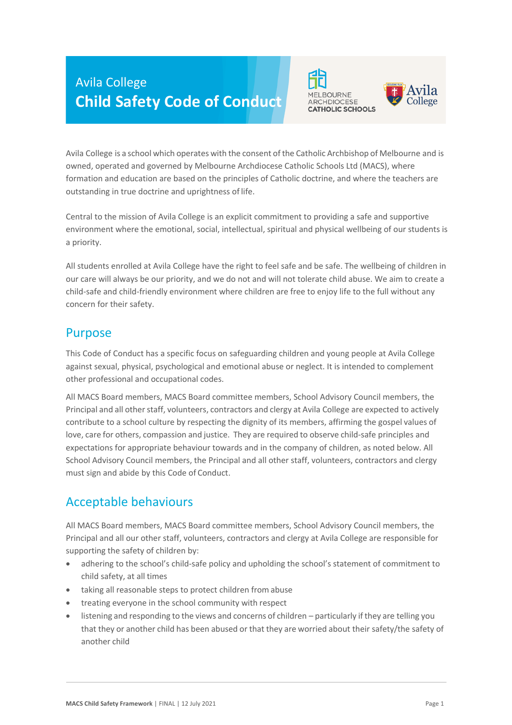# Avila College **Child Safety Code of Conduct**





Avila College is a school which operates with the consent of the Catholic Archbishop of Melbourne and is owned, operated and governed by Melbourne Archdiocese Catholic Schools Ltd (MACS), where formation and education are based on the principles of Catholic doctrine, and where the teachers are outstanding in true doctrine and uprightness of life.

Central to the mission of Avila College is an explicit commitment to providing a safe and supportive environment where the emotional, social, intellectual, spiritual and physical wellbeing of our students is a priority.

All students enrolled at Avila College have the right to feel safe and be safe. The wellbeing of children in our care will always be our priority, and we do not and will not tolerate child abuse. We aim to create a child-safe and child-friendly environment where children are free to enjoy life to the full without any concern for their safety.

### Purpose

This Code of Conduct has a specific focus on safeguarding children and young people at Avila College against sexual, physical, psychological and emotional abuse or neglect. It is intended to complement other professional and occupational codes.

All MACS Board members, MACS Board committee members, School Advisory Council members, the Principal and all other staff, volunteers, contractors and clergy at Avila College are expected to actively contribute to a school culture by respecting the dignity of its members, affirming the gospel values of love, care for others, compassion and justice. They are required to observe child-safe principles and expectations for appropriate behaviour towards and in the company of children, as noted below. All School Advisory Council members, the Principal and all other staff, volunteers, contractors and clergy must sign and abide by this Code of Conduct.

# Acceptable behaviours

All MACS Board members, MACS Board committee members, School Advisory Council members, the Principal and all our other staff, volunteers, contractors and clergy at Avila College are responsible for supporting the safety of children by:

- adhering to the school's child-safe policy and upholding the school's statement of commitment to child safety, at all times
- taking all reasonable steps to protect children from abuse
- treating everyone in the school community with respect
- listening and responding to the views and concerns of children particularly if they are telling you that they or another child has been abused or that they are worried about their safety/the safety of another child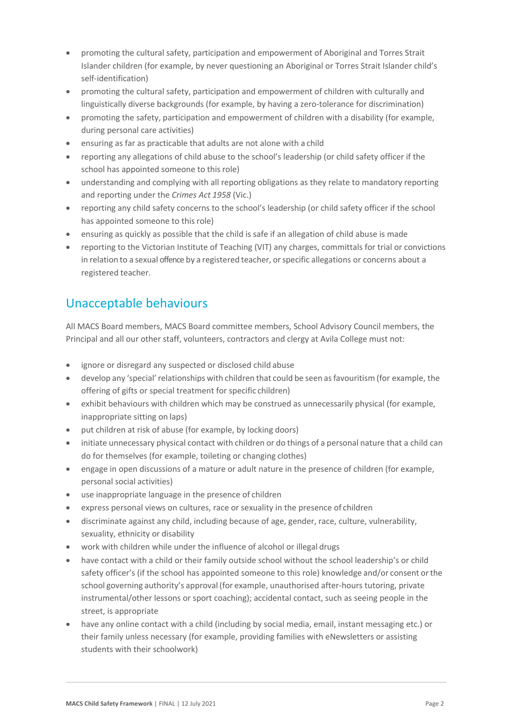- promoting the cultural safety, participation and empowerment of Aboriginal and Torres Strait Islander children (for example, by never questioning an Aboriginal or Torres Strait Islander child's self-identification)
- promoting the cultural safety, participation and empowerment of children with culturally and linguistically diverse backgrounds (for example, by having a zero-tolerance for discrimination)
- promoting the safety, participation and empowerment of children with a disability (for example, during personal care activities)
- ensuring as far as practicable that adults are not alone with a child
- reporting any allegations of child abuse to the school's leadership (or child safety officer if the school has appointed someone to this role)
- understanding and complying with all reporting obligations as they relate to mandatory reporting and reporting under the *Crimes Act 1958* (Vic.)
- reporting any child safety concerns to the school's leadership (or child safety officer if the school has appointed someone to this role)
- ensuring as quickly as possible that the child is safe if an allegation of child abuse is made
- reporting to the Victorian Institute of Teaching (VIT) any charges, committals for trial or convictions in relation to a sexual offence by a registered teacher, orspecific allegations or concerns about a registered teacher.

# Unacceptable behaviours

All MACS Board members, MACS Board committee members, School Advisory Council members, the Principal and all our other staff, volunteers, contractors and clergy at Avila College must not:

- ignore or disregard any suspected or disclosed child abuse
- develop any 'special'relationships with children that could be seen asfavouritism (for example, the offering of gifts or special treatment for specific children)
- exhibit behaviours with children which may be construed as unnecessarily physical (for example, inappropriate sitting on laps)
- put children at risk of abuse (for example, by locking doors)
- initiate unnecessary physical contact with children or do things of a personal nature that a child can do for themselves (for example, toileting or changing clothes)
- engage in open discussions of a mature or adult nature in the presence of children (for example, personal social activities)
- use inappropriate language in the presence of children
- express personal views on cultures, race or sexuality in the presence of children
- discriminate against any child, including because of age, gender, race, culture, vulnerability, sexuality, ethnicity or disability
- work with children while under the influence of alcohol or illegal drugs
- have contact with a child or their family outside school without the school leadership's or child safety officer's (if the school has appointed someone to this role) knowledge and/or consent orthe school governing authority's approval (for example, unauthorised after-hours tutoring, private instrumental/other lessons or sport coaching); accidental contact, such as seeing people in the street, is appropriate
- have any online contact with a child (including by social media, email, instant messaging etc.) or their family unless necessary (for example, providing families with eNewsletters or assisting students with their schoolwork)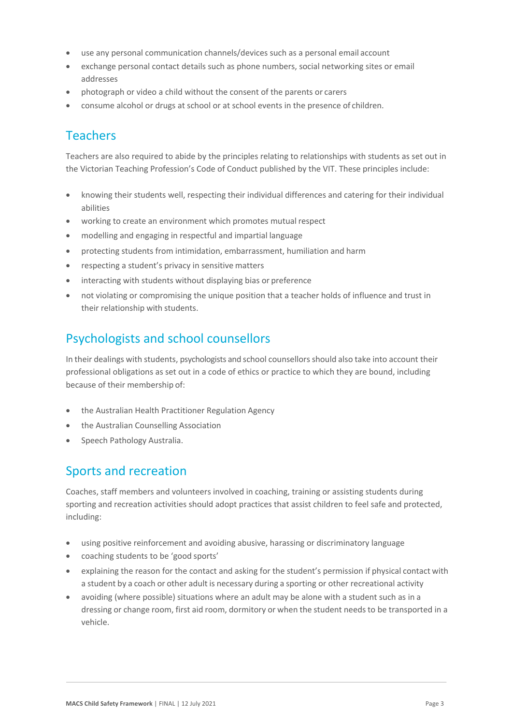- use any personal communication channels/devices such as a personal email account
- exchange personal contact details such as phone numbers, social networking sites or email addresses
- photograph or video a child without the consent of the parents or carers
- consume alcohol or drugs at school or at school events in the presence of children.

# Teachers

Teachers are also required to abide by the principles relating to relationships with students as set out in the Victorian Teaching Profession's Code of Conduct published by the VIT. These principles include:

- knowing their students well, respecting their individual differences and catering for their individual abilities
- working to create an environment which promotes mutual respect
- modelling and engaging in respectful and impartial language
- protecting students from intimidation, embarrassment, humiliation and harm
- respecting a student's privacy in sensitive matters
- interacting with students without displaying bias or preference
- not violating or compromising the unique position that a teacher holds of influence and trust in their relationship with students.

### Psychologists and school counsellors

In their dealings with students, psychologists and school counsellorsshould also take into account their professional obligations as set out in a code of ethics or practice to which they are bound, including because of their membership of:

- the Australian Health Practitioner Regulation Agency
- the Australian Counselling Association
- Speech Pathology Australia.

#### Sports and recreation

Coaches, staff members and volunteers involved in coaching, training or assisting students during sporting and recreation activities should adopt practices that assist children to feel safe and protected, including:

- using positive reinforcement and avoiding abusive, harassing or discriminatory language
- coaching students to be 'good sports'
- explaining the reason for the contact and asking for the student's permission if physical contact with a student by a coach or other adult is necessary during a sporting or other recreational activity
- avoiding (where possible) situations where an adult may be alone with a student such as in a dressing or change room, first aid room, dormitory or when the student needsto be transported in a vehicle.